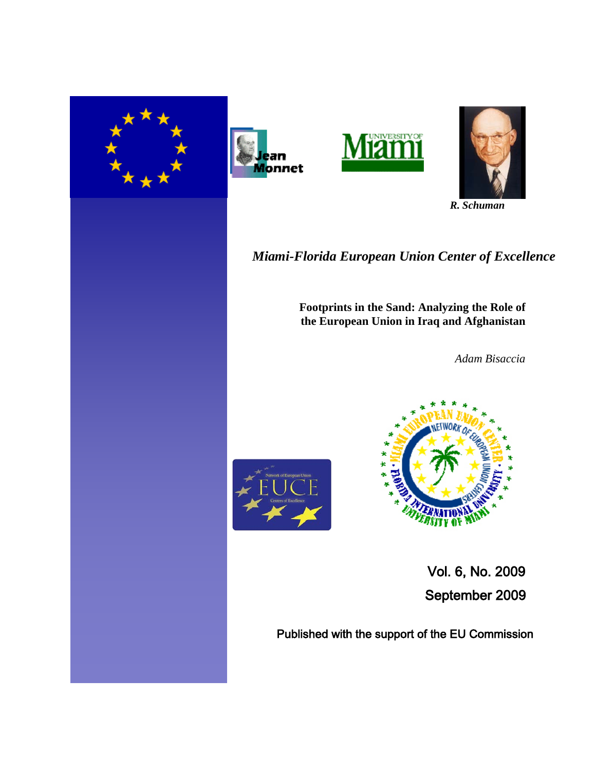







 *R. Schuman*

*Miami-Florida European Union Center of Excellence*

 **Footprints in the Sand: Analyzing the Role of the European Union in Iraq and Afghanistan** 

*Adam Bisaccia*





 Vol. 6, No. 2009 September 2009

Published with the support of the EU Commission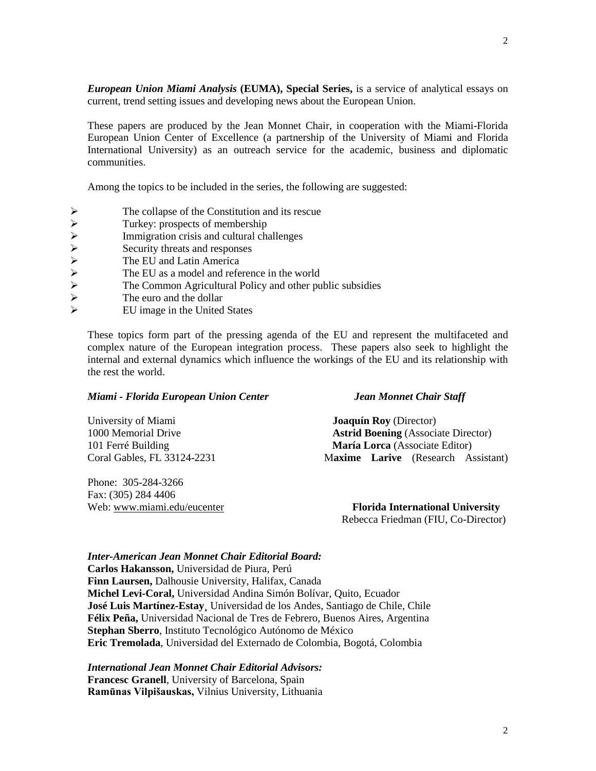*European Union Miami Analysis* **(EUMA), Special Series,** is a service of analytical essays on current, trend setting issues and developing news about the European Union.

These papers are produced by the Jean Monnet Chair, in cooperation with the Miami-Florida European Union Center of Excellence (a partnership of the University of Miami and Florida International University) as an outreach service for the academic, business and diplomatic communities.

Among the topics to be included in the series, the following are suggested:

- The collapse of the Constitution and its rescue<br>
Turkey: prospects of membership<br>
Immigration crisis and cultural challenges<br>
Security threats and responses<br>
The EU and Latin America<br>
The EU as a model and reference in the
- Turkey: prospects of membership
- Immigration crisis and cultural challenges
- Security threats and responses
- The EU and Latin America
- The EU as a model and reference in the world
- The Common Agricultural Policy and other public subsidies
- The euro and the dollar
- EU image in the United States

These topics form part of the pressing agenda of the EU and represent the multifaceted and complex nature of the European integration process. These papers also seek to highlight the internal and external dynamics which influence the workings of the EU and its relationship with the rest the world.

### *Miami - Florida European Union Center Jean Monnet Chair Staff*

| University of Miami         | <b>Joaquín Roy</b> (Director)              |
|-----------------------------|--------------------------------------------|
| 1000 Memorial Drive         | <b>Astrid Boening</b> (Associate Director) |
| 101 Ferré Building          | <b>María Lorca</b> (Associate Editor)      |
| Coral Gables. FL 33124-2231 | Maxime Larive (Research Assistant)         |

Phone: 305-284-3266 Fax: (305) 284 4406

Web: [www.miami.edu/eucenter](http://www.miami.edu/eucenter) **Florida International University** Rebecca Friedman (FIU, Co-Director)

*Inter-American Jean Monnet Chair Editorial Board:*

**Carlos Hakansson,** Universidad de Piura, Perú **Finn Laursen,** Dalhousie University, Halifax, Canada **Michel Levi-Coral,** Universidad Andina Simón Bolívar, Quito, Ecuador **José Luis Martínez-Estay¸** Universidad de los Andes, Santiago de Chile, Chile **Félix Peña,** Universidad Nacional de Tres de Febrero, Buenos Aires, Argentina **Stephan Sberro**, Instituto Tecnológico Autónomo de México **Eric Tremolada**, Universidad del Externado de Colombia, Bogotá, Colombia

#### *International Jean Monnet Chair Editorial Advisors:*

**Francesc Granell**, University of Barcelona, Spain **Ramūnas Vilpišauskas,** Vilnius University, Lithuania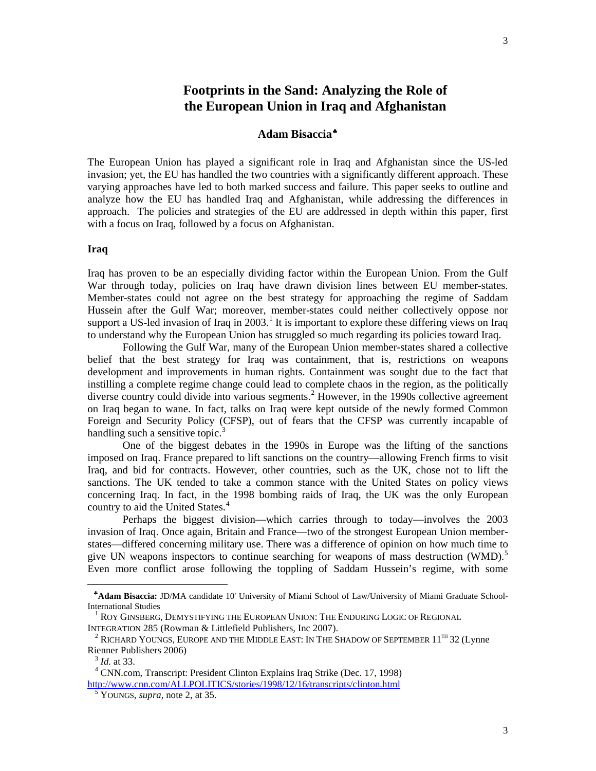# **Footprints in the Sand: Analyzing the Role of the European Union in Iraq and Afghanistan**

## **Adam Bisaccia**[♣](#page-2-0)

The European Union has played a significant role in Iraq and Afghanistan since the US-led invasion; yet, the EU has handled the two countries with a significantly different approach. These varying approaches have led to both marked success and failure. This paper seeks to outline and analyze how the EU has handled Iraq and Afghanistan, while addressing the differences in approach. The policies and strategies of the EU are addressed in depth within this paper, first with a focus on Iraq, followed by a focus on Afghanistan.

#### **Iraq**

Iraq has proven to be an especially dividing factor within the European Union. From the Gulf War through today, policies on Iraq have drawn division lines between EU member-states. Member-states could not agree on the best strategy for approaching the regime of Saddam Hussein after the Gulf War; moreover, member-states could neither collectively oppose nor support a US-led invasion of Iraq in  $2003$ .<sup>[1](#page-2-1)</sup> It is important to explore these differing views on Iraq to understand why the European Union has struggled so much regarding its policies toward Iraq.

Following the Gulf War, many of the European Union member-states shared a collective belief that the best strategy for Iraq was containment, that is, restrictions on weapons development and improvements in human rights. Containment was sought due to the fact that instilling a complete regime change could lead to complete chaos in the region, as the politically diverse country could divide into various segments. [2](#page-2-2) However, in the 1990s collective agreement on Iraq began to wane. In fact, talks on Iraq were kept outside of the newly formed Common Foreign and Security Policy (CFSP), out of fears that the CFSP was currently incapable of handling such a sensitive topic. $3$ 

One of the biggest debates in the 1990s in Europe was the lifting of the sanctions imposed on Iraq. France prepared to lift sanctions on the country—allowing French firms to visit Iraq, and bid for contracts. However, other countries, such as the UK, chose not to lift the sanctions. The UK tended to take a common stance with the United States on policy views concerning Iraq. In fact, in the 1998 bombing raids of Iraq, the UK was the only European country to aid the United States.<sup>[4](#page-2-4)</sup>

Perhaps the biggest division—which carries through to today—involves the 2003 invasion of Iraq. Once again, Britain and France—two of the strongest European Union memberstates—differed concerning military use. There was a difference of opinion on how much time to give UN weapons inspectors to continue searching for weapons of mass destruction (WMD).<sup>[5](#page-2-5)</sup> Even more conflict arose following the toppling of Saddam Hussein's regime, with some

<span id="page-2-0"></span><sup>♣</sup>**Adam Bisaccia:** JD/MA candidate 10' University of Miami School of Law/University of Miami Graduate School-International Studies

<span id="page-2-1"></span><sup>&</sup>lt;sup>1</sup> ROY GINSBERG, DEMYSTIFYING THE EUROPEAN UNION: THE ENDURING LOGIC OF REGIONAL INTEGRATION 285 (Rowman & Littlefield Publishers, Inc 2007).

<span id="page-2-2"></span> $^2$  RICHARD YOUNGS, EUROPE AND THE MIDDLE EAST: IN THE SHADOW OF SEPTEMBER  $11^{\text{th}}$  32 (Lynne Rienner Publishers 2006)

<sup>3</sup> *Id.* at 33.

<span id="page-2-5"></span><span id="page-2-4"></span><span id="page-2-3"></span><sup>4</sup> CNN.com, Transcript: President Clinton Explains Iraq Strike (Dec. 17, 1998) <http://www.cnn.com/ALLPOLITICS/stories/1998/12/16/transcripts/clinton.html>

<sup>5</sup> YOUNGS, *supra,* note 2, at 35.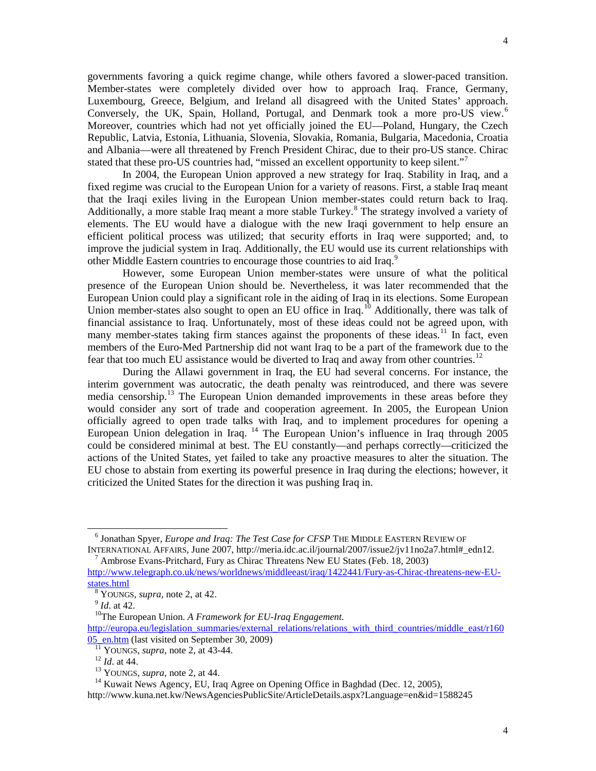governments favoring a quick regime change, while others favored a slower-paced transition. Member-states were completely divided over how to approach Iraq. France, Germany, Luxembourg, Greece, Belgium, and Ireland all disagreed with the United States' approach. Conversely, the UK, Spain, Holland, Portugal, and Denmark took a more pro-US view.<sup>[6](#page-3-0)</sup> Moreover, countries which had not yet officially joined the EU—Poland, Hungary, the Czech Republic, Latvia, Estonia, Lithuania, Slovenia, Slovakia, Romania, Bulgaria, Macedonia, Croatia and Albania—were all threatened by French President Chirac, due to their pro-US stance. Chirac stated that these pro-US countries had, "missed an excellent opportunity to keep silent."

In 2004, the European Union approved a new strategy for Iraq. Stability in Iraq, and a fixed regime was crucial to the European Union for a variety of reasons. First, a stable Iraq meant that the Iraqi exiles living in the European Union member-states could return back to Iraq. Additionally, a more stable Iraq meant a more stable Turkey.<sup>[8](#page-3-2)</sup> The strategy involved a variety of elements. The EU would have a dialogue with the new Iraqi government to help ensure an efficient political process was utilized; that security efforts in Iraq were supported; and, to improve the judicial system in Iraq. Additionally, the EU would use its current relationships with other Middle Eastern countries to encourage those countries to aid Iraq.<sup>[9](#page-3-3)</sup>

However, some European Union member-states were unsure of what the political presence of the European Union should be. Nevertheless, it was later recommended that the European Union could play a significant role in the aiding of Iraq in its elections. Some European Union member-states also sought to open an EU office in Iraq.<sup>[10](#page-3-4)</sup> Additionally, there was talk of financial assistance to Iraq. Unfortunately, most of these ideas could not be agreed upon, with many member-states taking firm stances against the proponents of these ideas.<sup>[11](#page-3-5)</sup> In fact, even members of the Euro-Med Partnership did not want Iraq to be a part of the framework due to the fear that too much EU assistance would be diverted to Iraq and away from other countries.<sup>[12](#page-3-6)</sup>

During the Allawi government in Iraq, the EU had several concerns. For instance, the interim government was autocratic, the death penalty was reintroduced, and there was severe media censorship.<sup>[13](#page-3-7)</sup> The European Union demanded improvements in these areas before they would consider any sort of trade and cooperation agreement. In 2005, the European Union officially agreed to open trade talks with Iraq, and to implement procedures for opening a European Union delegation in Iraq.  $^{14}$  $^{14}$  $^{14}$  The European Union's influence in Iraq through 2005 could be considered minimal at best. The EU constantly—and perhaps correctly—criticized the actions of the United States, yet failed to take any proactive measures to alter the situation. The EU chose to abstain from exerting its powerful presence in Iraq during the elections; however, it criticized the United States for the direction it was pushing Iraq in.

 $<sup>7</sup>$  Ambrose Evans-Pritchard, Fury as Chirac Threatens New EU States (Feb. 18, 2003)</sup>

 $\overline{a}$ 

10The European Union. *A Framework for EU-Iraq Engagement.*

<span id="page-3-0"></span><sup>6</sup> Jonathan Spyer*, Europe and Iraq: The Test Case for CFSP* THE MIDDLE EASTERN REVIEW OF INTERNATIONAL AFFAIRS, June 2007, http://meria.idc.ac.il/journal/2007/issue2/jv11no2a7.html#\_edn12.

<span id="page-3-2"></span><span id="page-3-1"></span>[http://www.telegraph.co.uk/news/worldnews/middleeast/iraq/1422441/Fury-as-Chirac-threatens-new-EU](http://www.telegraph.co.uk/news/worldnews/middleeast/iraq/1422441/Fury-as-Chirac-threatens-new-EU-states.html)[states.html](http://www.telegraph.co.uk/news/worldnews/middleeast/iraq/1422441/Fury-as-Chirac-threatens-new-EU-states.html)

<sup>8</sup> YOUNGS, *supra,* note 2, at 42.

 $\int_{9}^{9}$  *Id.* at 42.

<span id="page-3-6"></span><span id="page-3-5"></span><span id="page-3-4"></span><span id="page-3-3"></span>[http://europa.eu/legislation\\_summaries/external\\_relations/relations\\_with\\_third\\_countries/middle\\_east/r160](http://europa.eu/legislation_summaries/external_relations/relations_with_third_countries/middle_east/r16005_en.htm) [05\\_en.htm](http://europa.eu/legislation_summaries/external_relations/relations_with_third_countries/middle_east/r16005_en.htm) (last visited on September 30, 2009)

<sup>11</sup> YOUNGS, *supra,* note 2, at 43-44.

<sup>12</sup> *Id*. at 44.

<sup>13</sup> YOUNGS, *supra,* note 2, at 44.

<sup>&</sup>lt;sup>14</sup> Kuwait News Agency, EU, Iraq Agree on Opening Office in Baghdad (Dec. 12, 2005),

<span id="page-3-8"></span><span id="page-3-7"></span>http://www.kuna.net.kw/NewsAgenciesPublicSite/ArticleDetails.aspx?Language=en&id=1588245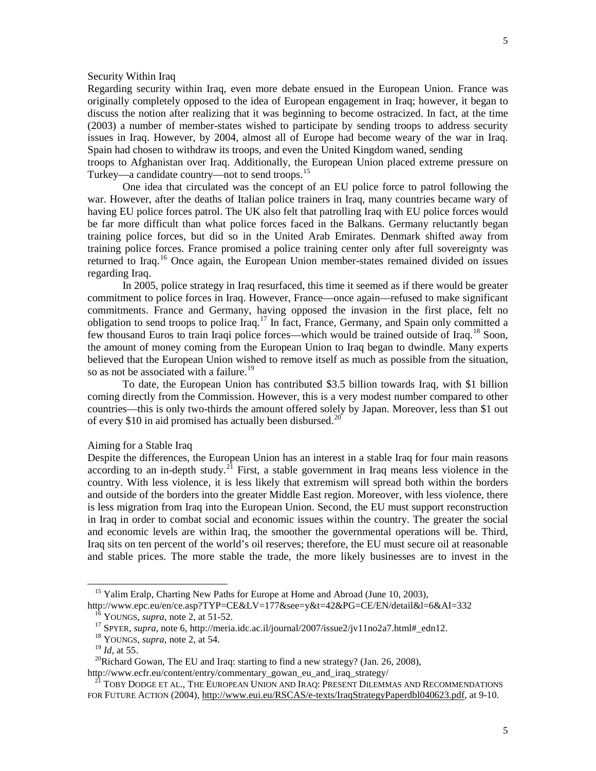#### Security Within Iraq

Regarding security within Iraq, even more debate ensued in the European Union. France was originally completely opposed to the idea of European engagement in Iraq; however, it began to discuss the notion after realizing that it was beginning to become ostracized. In fact, at the time (2003) a number of member-states wished to participate by sending troops to address security issues in Iraq. However, by 2004, almost all of Europe had become weary of the war in Iraq. Spain had chosen to withdraw its troops, and even the United Kingdom waned, sending

troops to Afghanistan over Iraq. Additionally, the European Union placed extreme pressure on Turkey—a candidate country—not to send troops.<sup>[15](#page-4-0)</sup>

One idea that circulated was the concept of an EU police force to patrol following the war. However, after the deaths of Italian police trainers in Iraq, many countries became wary of having EU police forces patrol. The UK also felt that patrolling Iraq with EU police forces would be far more difficult than what police forces faced in the Balkans. Germany reluctantly began training police forces, but did so in the United Arab Emirates. Denmark shifted away from training police forces. France promised a police training center only after full sovereignty was returned to Iraq.<sup>[16](#page-4-1)</sup> Once again, the European Union member-states remained divided on issues regarding Iraq.

In 2005, police strategy in Iraq resurfaced, this time it seemed as if there would be greater commitment to police forces in Iraq. However, France—once again—refused to make significant commitments. France and Germany, having opposed the invasion in the first place, felt no obligation to send troops to police Iraq.<sup>[17](#page-4-2)</sup> In fact, France, Germany, and Spain only committed a few thousand Euros to train Iraqi police forces—which would be trained outside of Iraq.<sup>[18](#page-4-3)</sup> Soon, the amount of money coming from the European Union to Iraq began to dwindle. Many experts believed that the European Union wished to remove itself as much as possible from the situation, so as not be associated with a failure.<sup>[19](#page-4-4)</sup>

To date, the European Union has contributed \$3.5 billion towards Iraq, with \$1 billion coming directly from the Commission. However, this is a very modest number compared to other countries—this is only two-thirds the amount offered solely by Japan. Moreover, less than \$1 out of every \$10 in aid promised has actually been disbursed.<sup>[20](#page-4-5)</sup>

#### Aiming for a Stable Iraq

Despite the differences, the European Union has an interest in a stable Iraq for four main reasons according to an in-depth study.<sup>[21](#page-4-6)</sup> First, a stable government in Iraq means less violence in the country. With less violence, it is less likely that extremism will spread both within the borders and outside of the borders into the greater Middle East region. Moreover, with less violence, there is less migration from Iraq into the European Union. Second, the EU must support reconstruction in Iraq in order to combat social and economic issues within the country. The greater the social and economic levels are within Iraq, the smoother the governmental operations will be. Third, Iraq sits on ten percent of the world's oil reserves; therefore, the EU must secure oil at reasonable and stable prices. The more stable the trade, the more likely businesses are to invest in the

<sup>&</sup>lt;sup>15</sup> Yalim Eralp, Charting New Paths for Europe at Home and Abroad (June 10, 2003),

<span id="page-4-2"></span><span id="page-4-1"></span><span id="page-4-0"></span>http://www.epc.eu/en/ce.asp?TYP=CE&LV=177&see=y&t=42&PG=CE/EN/detail&l=6&AI=332 <sup>16</sup> YOUNGS, *supra,* note 2, at 51-52.

<sup>&</sup>lt;sup>17</sup> SPYER, *supra*, note 6, http://meria.idc.ac.il/journal/2007/issue2/jv11no2a7.html#\_edn12.

<sup>18</sup> YOUNGS, *supra,* note 2, at 54.

<sup>19</sup> *Id,* at 55.

<span id="page-4-5"></span><span id="page-4-4"></span><span id="page-4-3"></span><sup>&</sup>lt;sup>20</sup>Richard Gowan, The EU and Iraq: starting to find a new strategy? (Jan. 26, 2008), http://www.ecfr.eu/content/entry/commentary\_gowan\_eu\_and\_iraq\_strategy/

<span id="page-4-6"></span><sup>&</sup>lt;sup>21</sup> TOBY DODGE ET AL., THE EUROPEAN UNION AND IRAQ: PRESENT DILEMMAS AND RECOMMENDATIONS FOR FUTURE ACTION (2004)[, http://www.eui.eu/RSCAS/e-texts/IraqStrategyPaperdbl040623.pdf,](http://www.eui.eu/RSCAS/e-texts/IraqStrategyPaperdbl040623.pdf) at 9-10.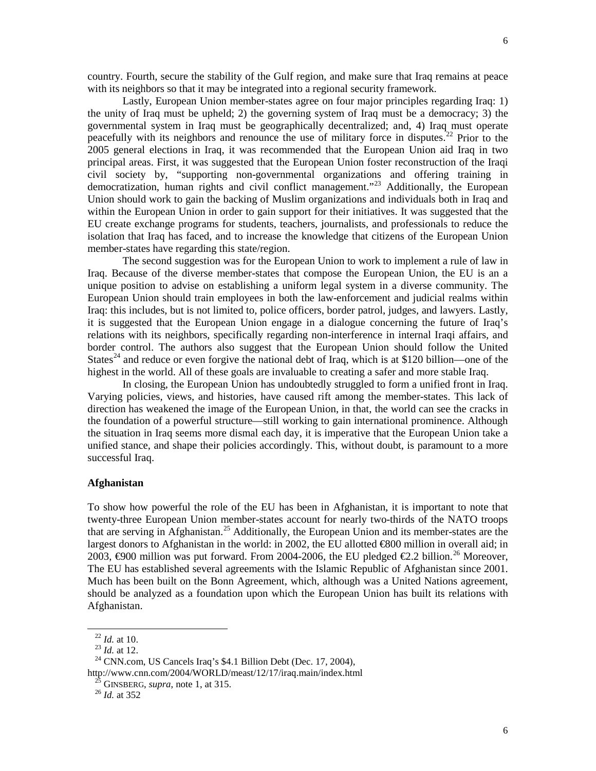country. Fourth, secure the stability of the Gulf region, and make sure that Iraq remains at peace with its neighbors so that it may be integrated into a regional security framework.

Lastly, European Union member-states agree on four major principles regarding Iraq: 1) the unity of Iraq must be upheld; 2) the governing system of Iraq must be a democracy; 3) the governmental system in Iraq must be geographically decentralized; and, 4) Iraq must operate peacefully with its neighbors and renounce the use of military force in disputes.<sup>[22](#page-5-0)</sup> Prior to the 2005 general elections in Iraq, it was recommended that the European Union aid Iraq in two principal areas. First, it was suggested that the European Union foster reconstruction of the Iraqi civil society by, "supporting non-governmental organizations and offering training in democratization, human rights and civil conflict management."<sup>[23](#page-5-1)</sup> Additionally, the European Union should work to gain the backing of Muslim organizations and individuals both in Iraq and within the European Union in order to gain support for their initiatives. It was suggested that the EU create exchange programs for students, teachers, journalists, and professionals to reduce the isolation that Iraq has faced, and to increase the knowledge that citizens of the European Union member-states have regarding this state/region.

The second suggestion was for the European Union to work to implement a rule of law in Iraq. Because of the diverse member-states that compose the European Union, the EU is an a unique position to advise on establishing a uniform legal system in a diverse community. The European Union should train employees in both the law-enforcement and judicial realms within Iraq: this includes, but is not limited to, police officers, border patrol, judges, and lawyers. Lastly, it is suggested that the European Union engage in a dialogue concerning the future of Iraq's relations with its neighbors, specifically regarding non-interference in internal Iraqi affairs, and border control. The authors also suggest that the European Union should follow the United States<sup>[24](#page-5-2)</sup> and reduce or even forgive the national debt of Iraq, which is at \$120 billion—one of the highest in the world. All of these goals are invaluable to creating a safer and more stable Iraq.

In closing, the European Union has undoubtedly struggled to form a unified front in Iraq. Varying policies, views, and histories, have caused rift among the member-states. This lack of direction has weakened the image of the European Union, in that, the world can see the cracks in the foundation of a powerful structure—still working to gain international prominence. Although the situation in Iraq seems more dismal each day, it is imperative that the European Union take a unified stance, and shape their policies accordingly. This, without doubt, is paramount to a more successful Iraq.

#### **Afghanistan**

To show how powerful the role of the EU has been in Afghanistan, it is important to note that twenty-three European Union member-states account for nearly two-thirds of the NATO troops that are serving in Afghanistan.<sup>[25](#page-5-3)</sup> Additionally, the European Union and its member-states are the largest donors to Afghanistan in the world: in 2002, the EU allotted €800 million in overall aid; in 2003,  $\Theta$ 00 million was put forward. From 2004-2006, the EU pledged €2.2 billion.<sup>[26](#page-5-4)</sup> Moreover, The EU has established several agreements with the Islamic Republic of Afghanistan since 2001. Much has been built on the Bonn Agreement, which, although was a United Nations agreement, should be analyzed as a foundation upon which the European Union has built its relations with Afghanistan.

<sup>22</sup> *Id.* at 10.

<sup>23</sup> *Id.* at 12.

<span id="page-5-4"></span><span id="page-5-3"></span><span id="page-5-2"></span><span id="page-5-1"></span><span id="page-5-0"></span> $24$  CNN.com, US Cancels Iraq's \$4.1 Billion Debt (Dec. 17, 2004), http://www.cnn.com/2004/WORLD/meast/12/17/iraq.main/index.html

 $<sup>5</sup>$  GINSBERG, *supra*, note 1, at 315.</sup>

<sup>26</sup> *Id.* at 352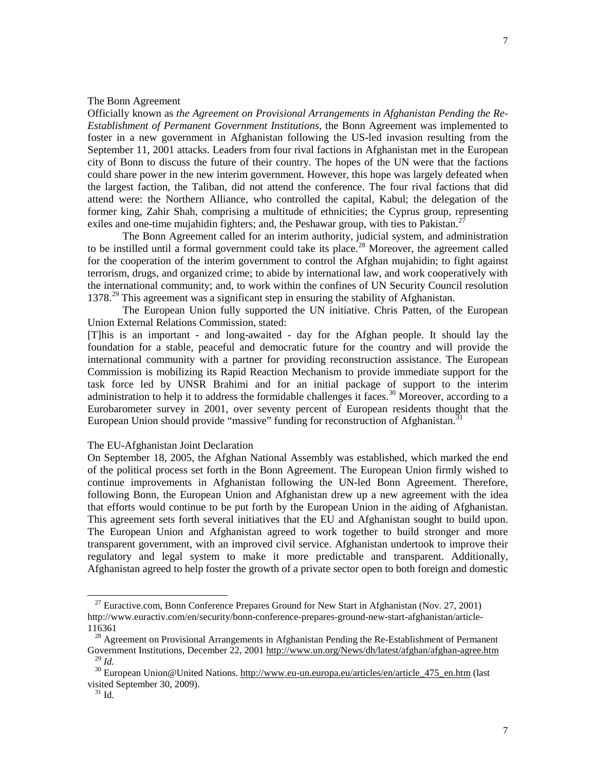#### The Bonn Agreement

Officially known as *the Agreement on Provisional Arrangements in Afghanistan Pending the Re-Establishment of Permanent Government Institutions*, the Bonn Agreement was implemented to foster in a new government in Afghanistan following the US-led invasion resulting from the September 11, 2001 attacks. Leaders from four rival factions in Afghanistan met in the European city of Bonn to discuss the future of their country. The hopes of the UN were that the factions could share power in the new interim government. However, this hope was largely defeated when the largest faction, the Taliban, did not attend the conference. The four rival factions that did attend were: the Northern Alliance, who controlled the capital, Kabul; the delegation of the former king, Zahir Shah, comprising a multitude of ethnicities; the Cyprus group, representing exiles and one-time mujahidin fighters; and, the Peshawar group, with ties to Pakistan.<sup>2</sup>

The Bonn Agreement called for an interim authority, judicial system, and administration to be instilled until a formal government could take its place.<sup>[28](#page-6-1)</sup> Moreover, the agreement called for the cooperation of the interim government to control the Afghan mujahidin; to fight against terrorism, drugs, and organized crime; to abide by international law, and work cooperatively with the international community; and, to work within the confines of UN Security Council resolution 1378.<sup>[29](#page-6-2)</sup> This agreement was a significant step in ensuring the stability of Afghanistan.

The European Union fully supported the UN initiative. Chris Patten, of the European Union External Relations Commission, stated:

[T]his is an important - and long-awaited - day for the Afghan people. It should lay the foundation for a stable, peaceful and democratic future for the country and will provide the international community with a partner for providing reconstruction assistance. The European Commission is mobilizing its Rapid Reaction Mechanism to provide immediate support for the task force led by UNSR Brahimi and for an initial package of support to the interim administration to help it to address the formidable challenges it faces.<sup>[30](#page-6-3)</sup> Moreover, according to a Eurobarometer survey in 2001, over seventy percent of European residents thought that the European Union should provide "massive" funding for reconstruction of Afghanistan.<sup>[31](#page-6-4)</sup>

#### The EU-Afghanistan Joint Declaration

On September 18, 2005, the Afghan National Assembly was established, which marked the end of the political process set forth in the Bonn Agreement. The European Union firmly wished to continue improvements in Afghanistan following the UN-led Bonn Agreement. Therefore, following Bonn, the European Union and Afghanistan drew up a new agreement with the idea that efforts would continue to be put forth by the European Union in the aiding of Afghanistan. This agreement sets forth several initiatives that the EU and Afghanistan sought to build upon. The European Union and Afghanistan agreed to work together to build stronger and more transparent government, with an improved civil service. Afghanistan undertook to improve their regulatory and legal system to make it more predictable and transparent. Additionally, Afghanistan agreed to help foster the growth of a private sector open to both foreign and domestic

<span id="page-6-0"></span><sup>&</sup>lt;sup>27</sup> Euractive.com, Bonn Conference Prepares Ground for New Start in Afghanistan (Nov. 27, 2001) http://www.euractiv.com/en/security/bonn-conference-prepares-ground-new-start-afghanistan/article-116361

<span id="page-6-1"></span><sup>&</sup>lt;sup>28</sup> Agreement on Provisional Arrangements in Afghanistan Pending the Re-Establishment of Permanent Government Institutions, December 22, 200[1 http://www.un.org/News/dh/latest/afghan/afghan-agree.htm](http://www.un.org/News/dh/latest/afghan/afghan-agree.htm)  $^{29}$  *Id.* 

<span id="page-6-4"></span><span id="page-6-3"></span><span id="page-6-2"></span><sup>&</sup>lt;sup>30</sup> European Union@United Nations. [http://www.eu-un.europa.eu/articles/en/article\\_475\\_en.htm](http://www.eu-un.europa.eu/articles/en/article_475_en.htm) (last visited September 30, 2009).

 $31$  Id.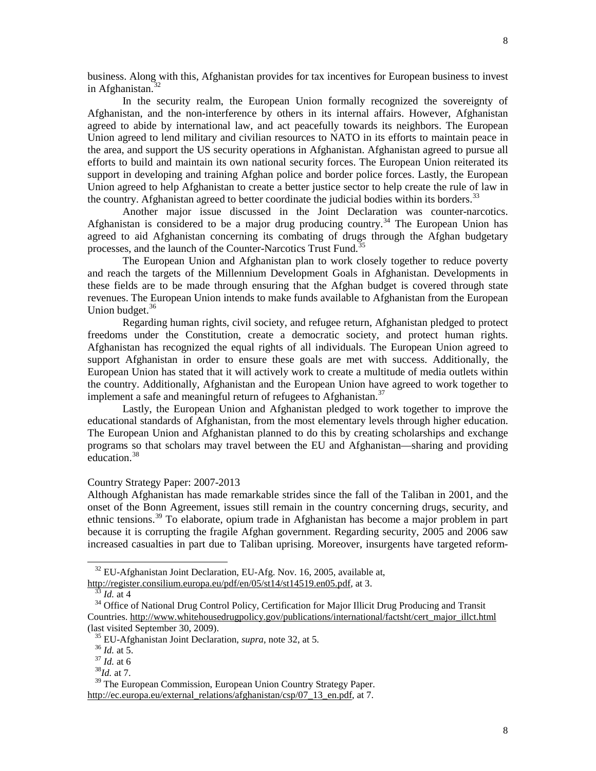business. Along with this, Afghanistan provides for tax incentives for European business to invest in Afghanistan. $32$ 

In the security realm, the European Union formally recognized the sovereignty of Afghanistan, and the non-interference by others in its internal affairs. However, Afghanistan agreed to abide by international law, and act peacefully towards its neighbors. The European Union agreed to lend military and civilian resources to NATO in its efforts to maintain peace in the area, and support the US security operations in Afghanistan. Afghanistan agreed to pursue all efforts to build and maintain its own national security forces. The European Union reiterated its support in developing and training Afghan police and border police forces. Lastly, the European Union agreed to help Afghanistan to create a better justice sector to help create the rule of law in the country. Afghanistan agreed to better coordinate the judicial bodies within its borders.<sup>[33](#page-7-1)</sup>

Another major issue discussed in the Joint Declaration was counter-narcotics. Afghanistan is considered to be a major drug producing country.<sup>[34](#page-7-2)</sup> The European Union has agreed to aid Afghanistan concerning its combating of drugs through the Afghan budgetary processes, and the launch of the Counter-Narcotics Trust Fund.<sup>[35](#page-7-3)</sup>

The European Union and Afghanistan plan to work closely together to reduce poverty and reach the targets of the Millennium Development Goals in Afghanistan. Developments in these fields are to be made through ensuring that the Afghan budget is covered through state revenues. The European Union intends to make funds available to Afghanistan from the European Union budget.<sup>[36](#page-7-4)</sup>

Regarding human rights, civil society, and refugee return, Afghanistan pledged to protect freedoms under the Constitution, create a democratic society, and protect human rights. Afghanistan has recognized the equal rights of all individuals. The European Union agreed to support Afghanistan in order to ensure these goals are met with success. Additionally, the European Union has stated that it will actively work to create a multitude of media outlets within the country. Additionally, Afghanistan and the European Union have agreed to work together to implement a safe and meaningful return of refugees to Afghanistan.<sup>[37](#page-7-5)</sup>

Lastly, the European Union and Afghanistan pledged to work together to improve the educational standards of Afghanistan, from the most elementary levels through higher education. The European Union and Afghanistan planned to do this by creating scholarships and exchange programs so that scholars may travel between the EU and Afghanistan—sharing and providing education.<sup>[38](#page-7-6)</sup>

#### Country Strategy Paper: 2007-2013

Although Afghanistan has made remarkable strides since the fall of the Taliban in 2001, and the onset of the Bonn Agreement, issues still remain in the country concerning drugs, security, and ethnic tensions.<sup>[39](#page-7-7)</sup> To elaborate, opium trade in Afghanistan has become a major problem in part because it is corrupting the fragile Afghan government. Regarding security, 2005 and 2006 saw increased casualties in part due to Taliban uprising. Moreover, insurgents have targeted reform-

 $\overline{a}$ 

8

8

<sup>&</sup>lt;sup>32</sup> EU-Afghanistan Joint Declaration, EU-Afg. Nov. 16, 2005, available at,

<span id="page-7-0"></span>[http://register.consilium.europa.eu/pdf/en/05/st14/st14519.en05.pdf,](http://register.consilium.europa.eu/pdf/en/05/st14/st14519.en05.pdf) at 3.

 $33$  *Id.* at 4

<span id="page-7-2"></span><span id="page-7-1"></span><sup>&</sup>lt;sup>34</sup> Office of National Drug Control Policy, Certification for Major Illicit Drug Producing and Transit Countries. [http://www.whitehousedrugpolicy.gov/publications/international/factsht/cert\\_major\\_illct.html](http://www.whitehousedrugpolicy.gov/publications/international/factsht/cert_major_illct.html) (last visited September 30, 2009).

<span id="page-7-3"></span><sup>35</sup> EU-Afghanistan Joint Declaration, *supra*, note 32, at 5.

<sup>36</sup> *Id.* at 5.

<sup>37</sup> *Id.* at 6

 $^{38}$ *Id.* at 7.

<span id="page-7-7"></span><span id="page-7-6"></span><span id="page-7-5"></span><span id="page-7-4"></span><sup>&</sup>lt;sup>39</sup> The European Commission, European Union Country Strategy Paper. [http://ec.europa.eu/external\\_relations/afghanistan/csp/07\\_13\\_en.pdf,](http://ec.europa.eu/external_relations/afghanistan/csp/07_13_en.pdf) at 7.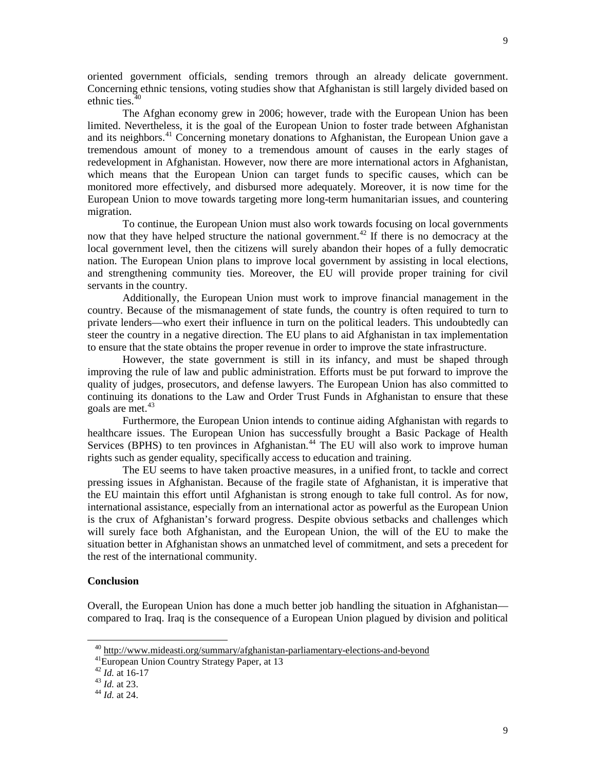oriented government officials, sending tremors through an already delicate government. Concerning ethnic tensions, voting studies show that Afghanistan is still largely divided based on ethnic ties.<sup>[40](#page-8-0)</sup>

The Afghan economy grew in 2006; however, trade with the European Union has been limited. Nevertheless, it is the goal of the European Union to foster trade between Afghanistan and its neighbors.<sup>[41](#page-8-1)</sup> Concerning monetary donations to Afghanistan, the European Union gave a tremendous amount of money to a tremendous amount of causes in the early stages of redevelopment in Afghanistan. However, now there are more international actors in Afghanistan, which means that the European Union can target funds to specific causes, which can be monitored more effectively, and disbursed more adequately. Moreover, it is now time for the European Union to move towards targeting more long-term humanitarian issues, and countering migration.

To continue, the European Union must also work towards focusing on local governments now that they have helped structure the national government.<sup>[42](#page-8-2)</sup> If there is no democracy at the local government level, then the citizens will surely abandon their hopes of a fully democratic nation. The European Union plans to improve local government by assisting in local elections, and strengthening community ties. Moreover, the EU will provide proper training for civil servants in the country.

Additionally, the European Union must work to improve financial management in the country. Because of the mismanagement of state funds, the country is often required to turn to private lenders—who exert their influence in turn on the political leaders. This undoubtedly can steer the country in a negative direction. The EU plans to aid Afghanistan in tax implementation to ensure that the state obtains the proper revenue in order to improve the state infrastructure.

However, the state government is still in its infancy, and must be shaped through improving the rule of law and public administration. Efforts must be put forward to improve the quality of judges, prosecutors, and defense lawyers. The European Union has also committed to continuing its donations to the Law and Order Trust Funds in Afghanistan to ensure that these goals are met.<sup>[43](#page-8-3)</sup>

Furthermore, the European Union intends to continue aiding Afghanistan with regards to healthcare issues. The European Union has successfully brought a Basic Package of Health Services (BPHS) to ten provinces in Afghanistan.<sup>[44](#page-8-4)</sup> The EU will also work to improve human rights such as gender equality, specifically access to education and training.

The EU seems to have taken proactive measures, in a unified front, to tackle and correct pressing issues in Afghanistan. Because of the fragile state of Afghanistan, it is imperative that the EU maintain this effort until Afghanistan is strong enough to take full control. As for now, international assistance, especially from an international actor as powerful as the European Union is the crux of Afghanistan's forward progress. Despite obvious setbacks and challenges which will surely face both Afghanistan, and the European Union, the will of the EU to make the situation better in Afghanistan shows an unmatched level of commitment, and sets a precedent for the rest of the international community.

#### **Conclusion**

<span id="page-8-1"></span><span id="page-8-0"></span> $\overline{a}$ 

Overall, the European Union has done a much better job handling the situation in Afghanistan compared to Iraq. Iraq is the consequence of a European Union plagued by division and political

<sup>40</sup> <http://www.mideasti.org/summary/afghanistan-parliamentary-elections-and-beyond>

41European Union Country Strategy Paper, at 13

<span id="page-8-2"></span><sup>42</sup> *Id.* at 16-17

<span id="page-8-3"></span><sup>43</sup> *Id.* at 23.

<span id="page-8-4"></span><sup>44</sup> *Id.* at 24.